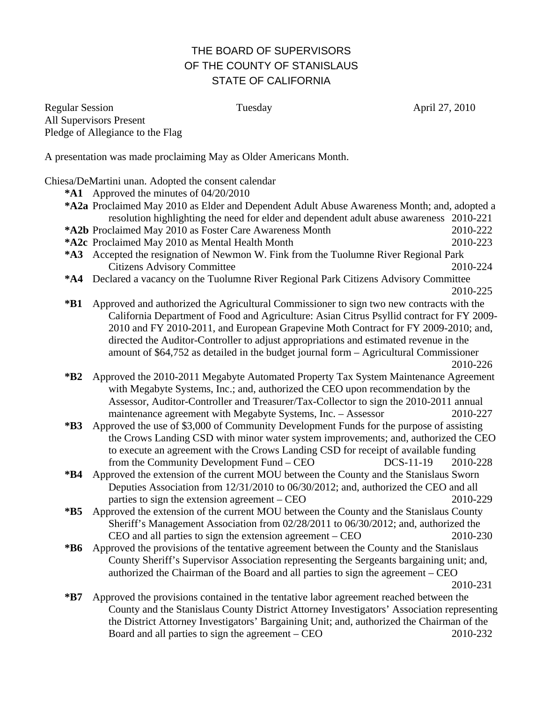## THE BOARD OF SUPERVISORS OF THE COUNTY OF STANISLAUS STATE OF CALIFORNIA

Regular Session **Tuesday Contact April 27, 2010 April 27, 2010** All Supervisors Present Pledge of Allegiance to the Flag

A presentation was made proclaiming May as Older Americans Month.

Chiesa/DeMartini unan. Adopted the consent calendar

- **\*A1** Approved the minutes of 04/20/2010
- **\*A2a** Proclaimed May 2010 as Elder and Dependent Adult Abuse Awareness Month; and, adopted a resolution highlighting the need for elder and dependent adult abuse awareness 2010-221
- **\*A2b** Proclaimed May 2010 as Foster Care Awareness Month 2010-222 **\*A2c** Proclaimed May 2010 as Mental Health Month 2010-223
- **\*A3** Accepted the resignation of Newmon W. Fink from the Tuolumne River Regional Park
	- Citizens Advisory Committee 2010-224
- **\*A4** Declared a vacancy on the Tuolumne River Regional Park Citizens Advisory Committee
- 2010-225 **\*B1** Approved and authorized the Agricultural Commissioner to sign two new contracts with the California Department of Food and Agriculture: Asian Citrus Psyllid contract for FY 2009- 2010 and FY 2010-2011, and European Grapevine Moth Contract for FY 2009-2010; and, directed the Auditor-Controller to adjust appropriations and estimated revenue in the amount of \$64,752 as detailed in the budget journal form – Agricultural Commissioner 2010-226

- **\*B2** Approved the 2010-2011 Megabyte Automated Property Tax System Maintenance Agreement with Megabyte Systems, Inc.; and, authorized the CEO upon recommendation by the Assessor, Auditor-Controller and Treasurer/Tax-Collector to sign the 2010-2011 annual maintenance agreement with Megabyte Systems, Inc. – Assessor 2010-227
- **\*B3** Approved the use of \$3,000 of Community Development Funds for the purpose of assisting the Crows Landing CSD with minor water system improvements; and, authorized the CEO to execute an agreement with the Crows Landing CSD for receipt of available funding from the Community Development Fund – CEO DCS-11-19 2010-228
- **\*B4** Approved the extension of the current MOU between the County and the Stanislaus Sworn Deputies Association from 12/31/2010 to 06/30/2012; and, authorized the CEO and all parties to sign the extension agreement – CEO 2010-229
- **\*B5** Approved the extension of the current MOU between the County and the Stanislaus County Sheriff's Management Association from 02/28/2011 to 06/30/2012; and, authorized the CEO and all parties to sign the extension agreement – CEO 2010-230
- **\*B6** Approved the provisions of the tentative agreement between the County and the Stanislaus County Sheriff's Supervisor Association representing the Sergeants bargaining unit; and, authorized the Chairman of the Board and all parties to sign the agreement – CEO 2010-231

**\*B7** Approved the provisions contained in the tentative labor agreement reached between the County and the Stanislaus County District Attorney Investigators' Association representing the District Attorney Investigators' Bargaining Unit; and, authorized the Chairman of the Board and all parties to sign the agreement – CEO 2010-232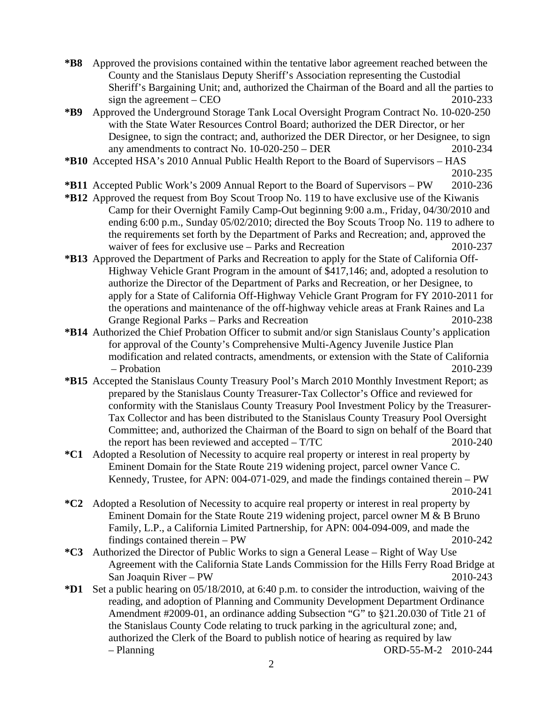- **\*B8** Approved the provisions contained within the tentative labor agreement reached between the County and the Stanislaus Deputy Sheriff's Association representing the Custodial Sheriff's Bargaining Unit; and, authorized the Chairman of the Board and all the parties to sign the agreement – CEO  $2010-233$
- **\*B9** Approved the Underground Storage Tank Local Oversight Program Contract No. 10-020-250 with the State Water Resources Control Board; authorized the DER Director, or her Designee, to sign the contract; and, authorized the DER Director, or her Designee, to sign any amendments to contract No. 10-020-250 – DER 2010-234
- **\*B10** Accepted HSA's 2010 Annual Public Health Report to the Board of Supervisors HAS 2010-235
	-
- **\*B11** Accepted Public Work's 2009 Annual Report to the Board of Supervisors PW 2010-236
- **\*B12** Approved the request from Boy Scout Troop No. 119 to have exclusive use of the Kiwanis Camp for their Overnight Family Camp-Out beginning 9:00 a.m., Friday, 04/30/2010 and ending 6:00 p.m., Sunday 05/02/2010; directed the Boy Scouts Troop No. 119 to adhere to the requirements set forth by the Department of Parks and Recreation; and, approved the waiver of fees for exclusive use – Parks and Recreation 2010-237
- **\*B13** Approved the Department of Parks and Recreation to apply for the State of California Off-Highway Vehicle Grant Program in the amount of \$417,146; and, adopted a resolution to authorize the Director of the Department of Parks and Recreation, or her Designee, to apply for a State of California Off-Highway Vehicle Grant Program for FY 2010-2011 for the operations and maintenance of the off-highway vehicle areas at Frank Raines and La Grange Regional Parks – Parks and Recreation 2010-238
- **\*B14** Authorized the Chief Probation Officer to submit and/or sign Stanislaus County's application for approval of the County's Comprehensive Multi-Agency Juvenile Justice Plan modification and related contracts, amendments, or extension with the State of California – Probation 2010-239
- **\*B15** Accepted the Stanislaus County Treasury Pool's March 2010 Monthly Investment Report; as prepared by the Stanislaus County Treasurer-Tax Collector's Office and reviewed for conformity with the Stanislaus County Treasury Pool Investment Policy by the Treasurer-Tax Collector and has been distributed to the Stanislaus County Treasury Pool Oversight Committee; and, authorized the Chairman of the Board to sign on behalf of the Board that the report has been reviewed and accepted  $- T/TC$  2010-240
- **\*C1** Adopted a Resolution of Necessity to acquire real property or interest in real property by Eminent Domain for the State Route 219 widening project, parcel owner Vance C. Kennedy, Trustee, for APN: 004-071-029, and made the findings contained therein – PW 2010-241
- **\*C2** Adopted a Resolution of Necessity to acquire real property or interest in real property by Eminent Domain for the State Route 219 widening project, parcel owner M & B Bruno Family, L.P., a California Limited Partnership, for APN: 004-094-009, and made the findings contained therein – PW 2010-242
- **\*C3** Authorized the Director of Public Works to sign a General Lease Right of Way Use Agreement with the California State Lands Commission for the Hills Ferry Road Bridge at San Joaquin River – PW 2010-243
- **\*D1** Set a public hearing on 05/18/2010, at 6:40 p.m. to consider the introduction, waiving of the reading, and adoption of Planning and Community Development Department Ordinance Amendment #2009-01, an ordinance adding Subsection "G" to §21.20.030 of Title 21 of the Stanislaus County Code relating to truck parking in the agricultural zone; and, authorized the Clerk of the Board to publish notice of hearing as required by law – Planning ORD-55-M-2 2010-244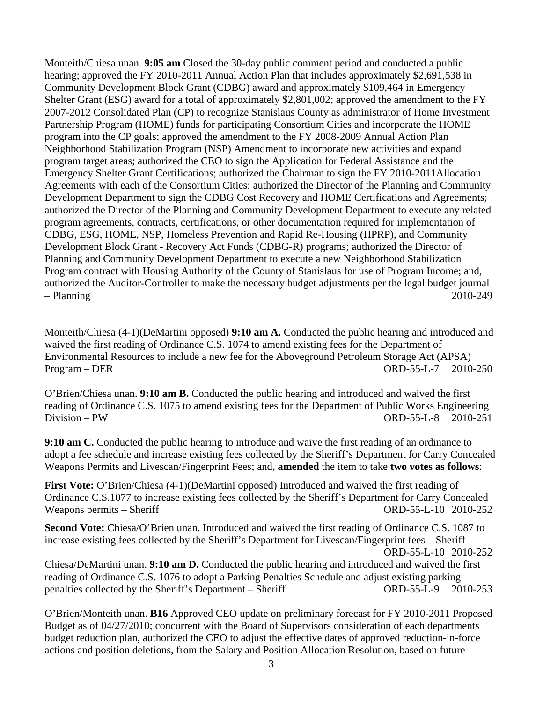Monteith/Chiesa unan. **9:05 am** Closed the 30-day public comment period and conducted a public hearing; approved the FY 2010-2011 Annual Action Plan that includes approximately \$2,691,538 in Community Development Block Grant (CDBG) award and approximately \$109,464 in Emergency Shelter Grant (ESG) award for a total of approximately \$2,801,002; approved the amendment to the FY 2007-2012 Consolidated Plan (CP) to recognize Stanislaus County as administrator of Home Investment Partnership Program (HOME) funds for participating Consortium Cities and incorporate the HOME program into the CP goals; approved the amendment to the FY 2008-2009 Annual Action Plan Neighborhood Stabilization Program (NSP) Amendment to incorporate new activities and expand program target areas; authorized the CEO to sign the Application for Federal Assistance and the Emergency Shelter Grant Certifications; authorized the Chairman to sign the FY 2010-2011Allocation Agreements with each of the Consortium Cities; authorized the Director of the Planning and Community Development Department to sign the CDBG Cost Recovery and HOME Certifications and Agreements; authorized the Director of the Planning and Community Development Department to execute any related program agreements, contracts, certifications, or other documentation required for implementation of CDBG, ESG, HOME, NSP, Homeless Prevention and Rapid Re-Housing (HPRP), and Community Development Block Grant - Recovery Act Funds (CDBG-R) programs; authorized the Director of Planning and Community Development Department to execute a new Neighborhood Stabilization Program contract with Housing Authority of the County of Stanislaus for use of Program Income; and, authorized the Auditor-Controller to make the necessary budget adjustments per the legal budget journal – Planning 2010-249

Monteith/Chiesa (4-1)(DeMartini opposed) **9:10 am A.** Conducted the public hearing and introduced and waived the first reading of Ordinance C.S. 1074 to amend existing fees for the Department of Environmental Resources to include a new fee for the Aboveground Petroleum Storage Act (APSA) Program – DER ORD-55-L-7 2010-250

O'Brien/Chiesa unan. **9:10 am B.** Conducted the public hearing and introduced and waived the first reading of Ordinance C.S. 1075 to amend existing fees for the Department of Public Works Engineering Division – PW ORD-55-L-8 2010-251

**9:10 am C.** Conducted the public hearing to introduce and waive the first reading of an ordinance to adopt a fee schedule and increase existing fees collected by the Sheriff's Department for Carry Concealed Weapons Permits and Livescan/Fingerprint Fees; and, **amended** the item to take **two votes as follows**:

**First Vote:** O'Brien/Chiesa (4-1)(DeMartini opposed) Introduced and waived the first reading of Ordinance C.S.1077 to increase existing fees collected by the Sheriff's Department for Carry Concealed Weapons permits – Sheriff ORD-55-L-10 2010-252

**Second Vote:** Chiesa/O'Brien unan. Introduced and waived the first reading of Ordinance C.S. 1087 to increase existing fees collected by the Sheriff's Department for Livescan/Fingerprint fees – Sheriff ORD-55-L-10 2010-252

Chiesa/DeMartini unan. **9:10 am D.** Conducted the public hearing and introduced and waived the first reading of Ordinance C.S. 1076 to adopt a Parking Penalties Schedule and adjust existing parking penalties collected by the Sheriff's Department – Sheriff ORD-55-L-9 2010-253

O'Brien/Monteith unan. **B16** Approved CEO update on preliminary forecast for FY 2010-2011 Proposed Budget as of 04/27/2010; concurrent with the Board of Supervisors consideration of each departments budget reduction plan, authorized the CEO to adjust the effective dates of approved reduction-in-force actions and position deletions, from the Salary and Position Allocation Resolution, based on future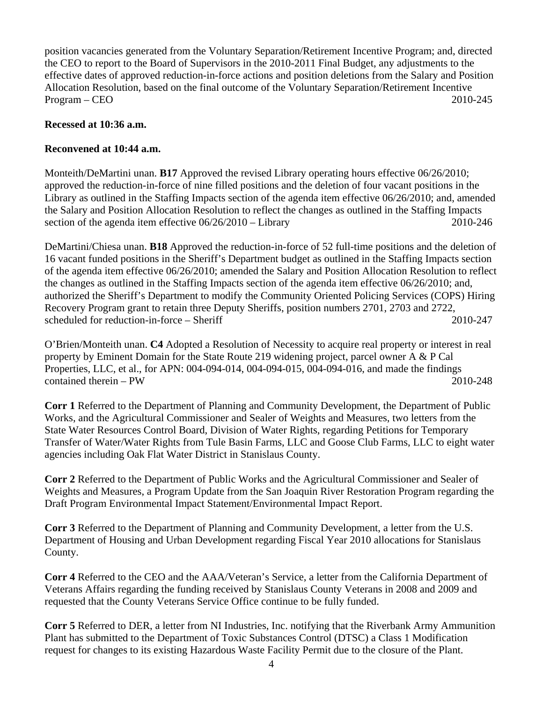position vacancies generated from the Voluntary Separation/Retirement Incentive Program; and, directed the CEO to report to the Board of Supervisors in the 2010-2011 Final Budget, any adjustments to the effective dates of approved reduction-in-force actions and position deletions from the Salary and Position Allocation Resolution, based on the final outcome of the Voluntary Separation/Retirement Incentive Program – CEO 2010-245

## **Recessed at 10:36 a.m.**

## **Reconvened at 10:44 a.m.**

Monteith/DeMartini unan. **B17** Approved the revised Library operating hours effective 06/26/2010; approved the reduction-in-force of nine filled positions and the deletion of four vacant positions in the Library as outlined in the Staffing Impacts section of the agenda item effective 06/26/2010; and, amended the Salary and Position Allocation Resolution to reflect the changes as outlined in the Staffing Impacts section of the agenda item effective  $06/26/2010 -$ Library 2010-246

DeMartini/Chiesa unan. **B18** Approved the reduction-in-force of 52 full-time positions and the deletion of 16 vacant funded positions in the Sheriff's Department budget as outlined in the Staffing Impacts section of the agenda item effective 06/26/2010; amended the Salary and Position Allocation Resolution to reflect the changes as outlined in the Staffing Impacts section of the agenda item effective 06/26/2010; and, authorized the Sheriff's Department to modify the Community Oriented Policing Services (COPS) Hiring Recovery Program grant to retain three Deputy Sheriffs, position numbers 2701, 2703 and 2722, scheduled for reduction-in-force – Sheriff 2010-247

O'Brien/Monteith unan. **C4** Adopted a Resolution of Necessity to acquire real property or interest in real property by Eminent Domain for the State Route 219 widening project, parcel owner A & P Cal Properties, LLC, et al., for APN: 004-094-014, 004-094-015, 004-094-016, and made the findings contained therein – PW 2010-248

**Corr 1** Referred to the Department of Planning and Community Development, the Department of Public Works, and the Agricultural Commissioner and Sealer of Weights and Measures, two letters from the State Water Resources Control Board, Division of Water Rights, regarding Petitions for Temporary Transfer of Water/Water Rights from Tule Basin Farms, LLC and Goose Club Farms, LLC to eight water agencies including Oak Flat Water District in Stanislaus County.

**Corr 2** Referred to the Department of Public Works and the Agricultural Commissioner and Sealer of Weights and Measures, a Program Update from the San Joaquin River Restoration Program regarding the Draft Program Environmental Impact Statement/Environmental Impact Report.

**Corr 3** Referred to the Department of Planning and Community Development, a letter from the U.S. Department of Housing and Urban Development regarding Fiscal Year 2010 allocations for Stanislaus County.

**Corr 4** Referred to the CEO and the AAA/Veteran's Service, a letter from the California Department of Veterans Affairs regarding the funding received by Stanislaus County Veterans in 2008 and 2009 and requested that the County Veterans Service Office continue to be fully funded.

**Corr 5** Referred to DER, a letter from NI Industries, Inc. notifying that the Riverbank Army Ammunition Plant has submitted to the Department of Toxic Substances Control (DTSC) a Class 1 Modification request for changes to its existing Hazardous Waste Facility Permit due to the closure of the Plant.